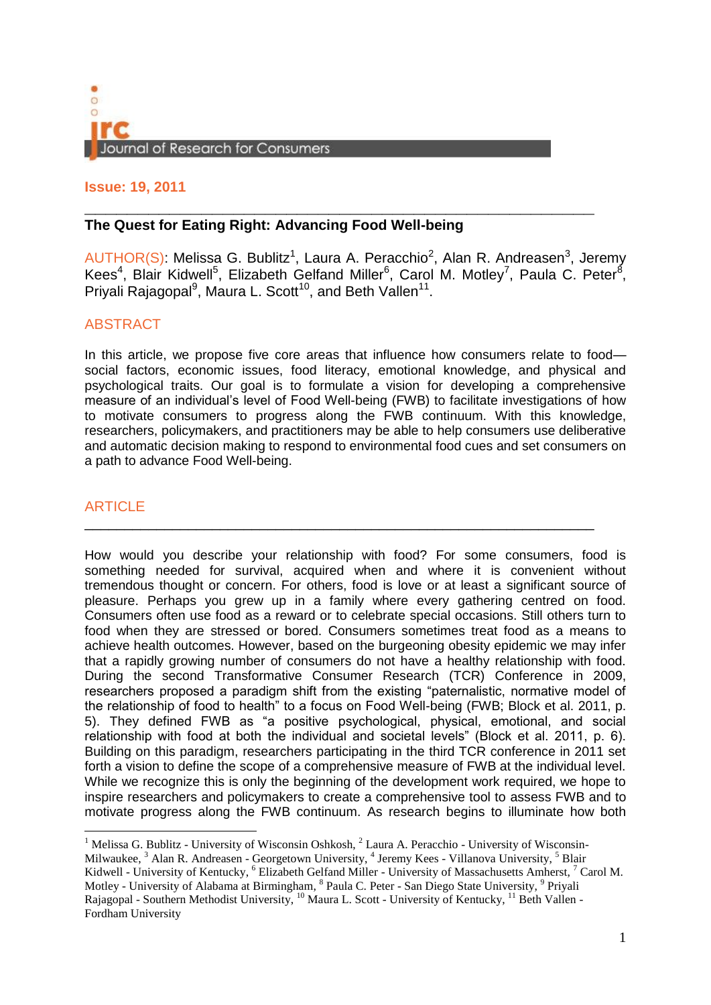

## **Issue: 19, 2011**

# **\_\_\_\_\_\_\_\_\_\_\_\_\_\_\_\_\_\_\_\_\_\_\_\_\_\_\_\_\_\_\_\_\_\_\_\_\_\_\_\_\_\_\_\_\_\_\_\_ The Quest for Eating Right: Advancing Food Well-being**

AUTHOR(S): Melissa G. Bublitz<sup>1</sup>, Laura A. Peracchio<sup>2</sup>, Alan R. Andreasen<sup>3</sup>, Jeremy Kees<sup>4</sup>, Blair Kidwell<sup>5</sup>, Elizabeth Gelfand Miller<sup>6</sup>, Carol M. Motley<sup>7</sup>, Paula C. Peter<sup>8</sup>, Priyali Rajagopal<sup>9</sup>, Maura L. Scott<sup>10</sup>, and Beth Vallen<sup>11</sup>.

# ABSTRACT

In this article, we propose five core areas that influence how consumers relate to food social factors, economic issues, food literacy, emotional knowledge, and physical and psychological traits. Our goal is to formulate a vision for developing a comprehensive measure of an individual's level of Food Well-being (FWB) to facilitate investigations of how to motivate consumers to progress along the FWB continuum. With this knowledge, researchers, policymakers, and practitioners may be able to help consumers use deliberative and automatic decision making to respond to environmental food cues and set consumers on a path to advance Food Well-being.

\_\_\_\_\_\_\_\_\_\_\_\_\_\_\_\_\_\_\_\_\_\_\_\_\_\_\_\_\_\_\_\_\_\_\_\_\_\_\_\_\_\_\_\_\_\_\_\_\_\_\_\_\_\_\_\_\_\_\_\_\_\_\_\_

# ARTICLE

 $\overline{a}$ 

How would you describe your relationship with food? For some consumers, food is something needed for survival, acquired when and where it is convenient without tremendous thought or concern. For others, food is love or at least a significant source of pleasure. Perhaps you grew up in a family where every gathering centred on food. Consumers often use food as a reward or to celebrate special occasions. Still others turn to food when they are stressed or bored. Consumers sometimes treat food as a means to achieve health outcomes. However, based on the burgeoning obesity epidemic we may infer that a rapidly growing number of consumers do not have a healthy relationship with food. During the second Transformative Consumer Research (TCR) Conference in 2009, researchers proposed a paradigm shift from the existing "paternalistic, normative model of the relationship of food to health" to a focus on Food Well-being (FWB; Block et al. 2011, p. 5). They defined FWB as "a positive psychological, physical, emotional, and social relationship with food at both the individual and societal levels" (Block et al. 2011, p. 6). Building on this paradigm, researchers participating in the third TCR conference in 2011 set forth a vision to define the scope of a comprehensive measure of FWB at the individual level. While we recognize this is only the beginning of the development work required, we hope to inspire researchers and policymakers to create a comprehensive tool to assess FWB and to motivate progress along the FWB continuum. As research begins to illuminate how both

<sup>&</sup>lt;sup>1</sup> Melissa G. Bublitz - University of Wisconsin Oshkosh,  $2$  Laura A. Peracchio - University of Wisconsin-Milwaukee, <sup>3</sup> Alan R. Andreasen - Georgetown University, <sup>4</sup> Jeremy Kees - Villanova University, <sup>5</sup> Blair Kidwell - University of Kentucky, <sup>6</sup> Elizabeth Gelfand Miller - University of Massachusetts Amherst, <sup>7</sup> Carol M. Motley - University of Alabama at Birmingham, <sup>8</sup> Paula C. Peter - San Diego State University, <sup>9</sup> Priyali Rajagopal - Southern Methodist University, <sup>10</sup> Maura L. Scott - University of Kentucky, <sup>11</sup> Beth Vallen -Fordham University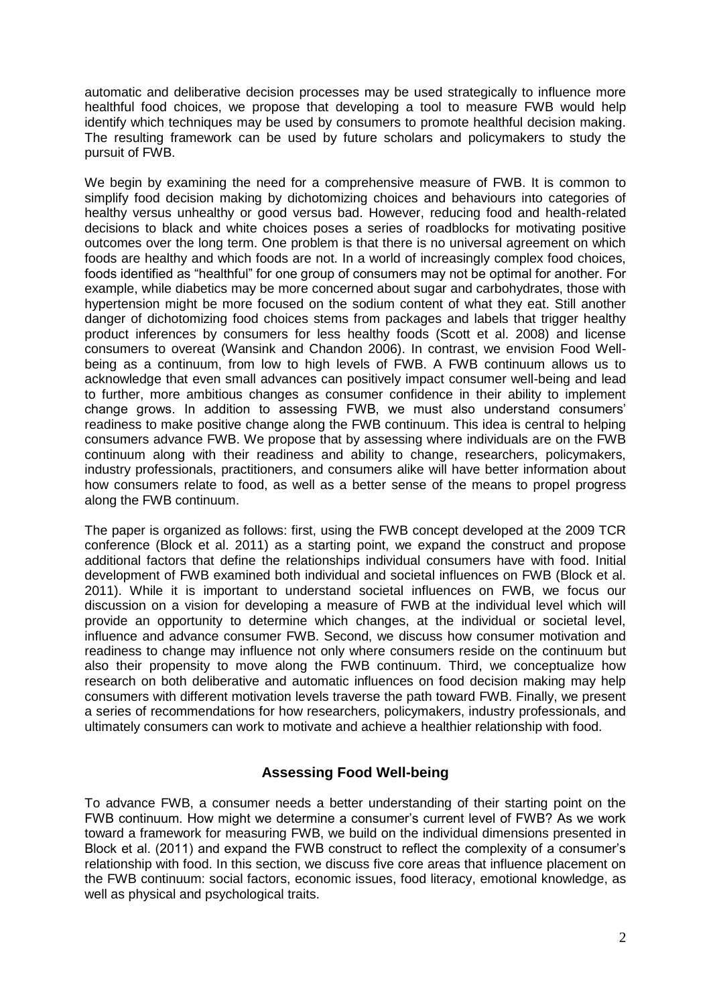automatic and deliberative decision processes may be used strategically to influence more healthful food choices, we propose that developing a tool to measure FWB would help identify which techniques may be used by consumers to promote healthful decision making. The resulting framework can be used by future scholars and policymakers to study the pursuit of FWB.

We begin by examining the need for a comprehensive measure of FWB. It is common to simplify food decision making by dichotomizing choices and behaviours into categories of healthy versus unhealthy or good versus bad. However, reducing food and health-related decisions to black and white choices poses a series of roadblocks for motivating positive outcomes over the long term. One problem is that there is no universal agreement on which foods are healthy and which foods are not. In a world of increasingly complex food choices, foods identified as "healthful" for one group of consumers may not be optimal for another. For example, while diabetics may be more concerned about sugar and carbohydrates, those with hypertension might be more focused on the sodium content of what they eat. Still another danger of dichotomizing food choices stems from packages and labels that trigger healthy product inferences by consumers for less healthy foods (Scott et al. 2008) and license consumers to overeat (Wansink and Chandon 2006). In contrast, we envision Food Wellbeing as a continuum, from low to high levels of FWB. A FWB continuum allows us to acknowledge that even small advances can positively impact consumer well-being and lead to further, more ambitious changes as consumer confidence in their ability to implement change grows. In addition to assessing FWB, we must also understand consumers' readiness to make positive change along the FWB continuum. This idea is central to helping consumers advance FWB. We propose that by assessing where individuals are on the FWB continuum along with their readiness and ability to change, researchers, policymakers, industry professionals, practitioners, and consumers alike will have better information about how consumers relate to food, as well as a better sense of the means to propel progress along the FWB continuum.

The paper is organized as follows: first, using the FWB concept developed at the 2009 TCR conference (Block et al. 2011) as a starting point, we expand the construct and propose additional factors that define the relationships individual consumers have with food. Initial development of FWB examined both individual and societal influences on FWB (Block et al. 2011). While it is important to understand societal influences on FWB, we focus our discussion on a vision for developing a measure of FWB at the individual level which will provide an opportunity to determine which changes, at the individual or societal level, influence and advance consumer FWB. Second, we discuss how consumer motivation and readiness to change may influence not only where consumers reside on the continuum but also their propensity to move along the FWB continuum. Third, we conceptualize how research on both deliberative and automatic influences on food decision making may help consumers with different motivation levels traverse the path toward FWB. Finally, we present a series of recommendations for how researchers, policymakers, industry professionals, and ultimately consumers can work to motivate and achieve a healthier relationship with food.

# **Assessing Food Well-being**

To advance FWB, a consumer needs a better understanding of their starting point on the FWB continuum. How might we determine a consumer's current level of FWB? As we work toward a framework for measuring FWB, we build on the individual dimensions presented in Block et al. (2011) and expand the FWB construct to reflect the complexity of a consumer's relationship with food. In this section, we discuss five core areas that influence placement on the FWB continuum: social factors, economic issues, food literacy, emotional knowledge, as well as physical and psychological traits.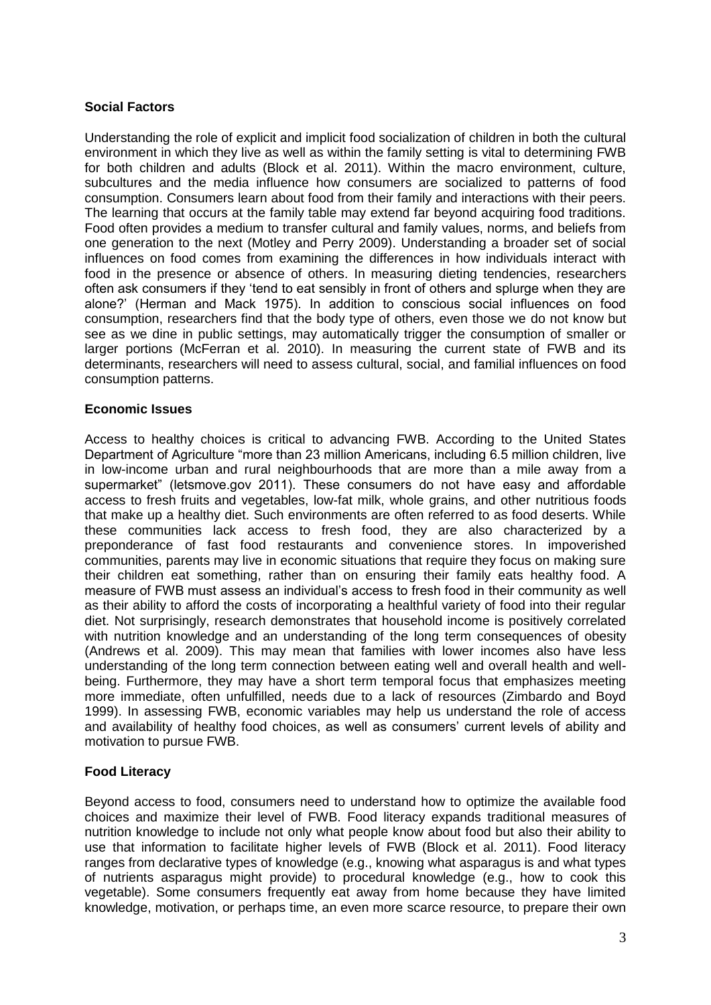## **Social Factors**

Understanding the role of explicit and implicit food socialization of children in both the cultural environment in which they live as well as within the family setting is vital to determining FWB for both children and adults (Block et al. 2011). Within the macro environment, culture, subcultures and the media influence how consumers are socialized to patterns of food consumption. Consumers learn about food from their family and interactions with their peers. The learning that occurs at the family table may extend far beyond acquiring food traditions. Food often provides a medium to transfer cultural and family values, norms, and beliefs from one generation to the next (Motley and Perry 2009). Understanding a broader set of social influences on food comes from examining the differences in how individuals interact with food in the presence or absence of others. In measuring dieting tendencies, researchers often ask consumers if they 'tend to eat sensibly in front of others and splurge when they are alone?' (Herman and Mack 1975). In addition to conscious social influences on food consumption, researchers find that the body type of others, even those we do not know but see as we dine in public settings, may automatically trigger the consumption of smaller or larger portions (McFerran et al. 2010). In measuring the current state of FWB and its determinants, researchers will need to assess cultural, social, and familial influences on food consumption patterns.

### **Economic Issues**

Access to healthy choices is critical to advancing FWB. According to the United States Department of Agriculture "more than 23 million Americans, including 6.5 million children, live in low-income urban and rural neighbourhoods that are more than a mile away from a supermarket" (letsmove.gov 2011). These consumers do not have easy and affordable access to fresh fruits and vegetables, low-fat milk, whole grains, and other nutritious foods that make up a healthy diet. Such environments are often referred to as food deserts. While these communities lack access to fresh food, they are also characterized by a preponderance of fast food restaurants and convenience stores. In impoverished communities, parents may live in economic situations that require they focus on making sure their children eat something, rather than on ensuring their family eats healthy food. A measure of FWB must assess an individual's access to fresh food in their community as well as their ability to afford the costs of incorporating a healthful variety of food into their regular diet. Not surprisingly, research demonstrates that household income is positively correlated with nutrition knowledge and an understanding of the long term consequences of obesity (Andrews et al. 2009). This may mean that families with lower incomes also have less understanding of the long term connection between eating well and overall health and wellbeing. Furthermore, they may have a short term temporal focus that emphasizes meeting more immediate, often unfulfilled, needs due to a lack of resources (Zimbardo and Boyd 1999). In assessing FWB, economic variables may help us understand the role of access and availability of healthy food choices, as well as consumers' current levels of ability and motivation to pursue FWB.

### **Food Literacy**

Beyond access to food, consumers need to understand how to optimize the available food choices and maximize their level of FWB. Food literacy expands traditional measures of nutrition knowledge to include not only what people know about food but also their ability to use that information to facilitate higher levels of FWB (Block et al. 2011). Food literacy ranges from declarative types of knowledge (e.g., knowing what asparagus is and what types of nutrients asparagus might provide) to procedural knowledge (e.g., how to cook this vegetable). Some consumers frequently eat away from home because they have limited knowledge, motivation, or perhaps time, an even more scarce resource, to prepare their own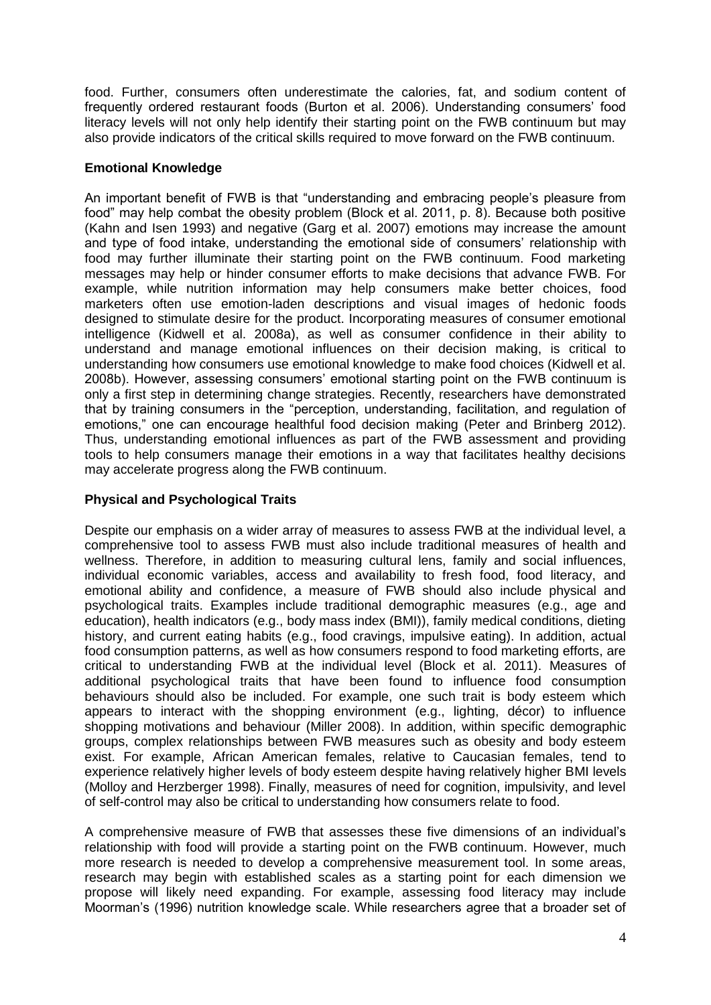food. Further, consumers often underestimate the calories, fat, and sodium content of frequently ordered restaurant foods (Burton et al. 2006). Understanding consumers' food literacy levels will not only help identify their starting point on the FWB continuum but may also provide indicators of the critical skills required to move forward on the FWB continuum.

### **Emotional Knowledge**

An important benefit of FWB is that "understanding and embracing people's pleasure from food" may help combat the obesity problem (Block et al. 2011, p. 8). Because both positive (Kahn and Isen 1993) and negative (Garg et al. 2007) emotions may increase the amount and type of food intake, understanding the emotional side of consumers' relationship with food may further illuminate their starting point on the FWB continuum. Food marketing messages may help or hinder consumer efforts to make decisions that advance FWB. For example, while nutrition information may help consumers make better choices, food marketers often use emotion-laden descriptions and visual images of hedonic foods designed to stimulate desire for the product. Incorporating measures of consumer emotional intelligence (Kidwell et al. 2008a), as well as consumer confidence in their ability to understand and manage emotional influences on their decision making, is critical to understanding how consumers use emotional knowledge to make food choices (Kidwell et al. 2008b). However, assessing consumers' emotional starting point on the FWB continuum is only a first step in determining change strategies. Recently, researchers have demonstrated that by training consumers in the "perception, understanding, facilitation, and regulation of emotions," one can encourage healthful food decision making (Peter and Brinberg 2012). Thus, understanding emotional influences as part of the FWB assessment and providing tools to help consumers manage their emotions in a way that facilitates healthy decisions may accelerate progress along the FWB continuum.

## **Physical and Psychological Traits**

Despite our emphasis on a wider array of measures to assess FWB at the individual level, a comprehensive tool to assess FWB must also include traditional measures of health and wellness. Therefore, in addition to measuring cultural lens, family and social influences, individual economic variables, access and availability to fresh food, food literacy, and emotional ability and confidence, a measure of FWB should also include physical and psychological traits. Examples include traditional demographic measures (e.g., age and education), health indicators (e.g., body mass index (BMI)), family medical conditions, dieting history, and current eating habits (e.g., food cravings, impulsive eating). In addition, actual food consumption patterns, as well as how consumers respond to food marketing efforts, are critical to understanding FWB at the individual level (Block et al. 2011). Measures of additional psychological traits that have been found to influence food consumption behaviours should also be included. For example, one such trait is body esteem which appears to interact with the shopping environment (e.g., lighting, décor) to influence shopping motivations and behaviour (Miller 2008). In addition, within specific demographic groups, complex relationships between FWB measures such as obesity and body esteem exist. For example, African American females, relative to Caucasian females, tend to experience relatively higher levels of body esteem despite having relatively higher BMI levels (Molloy and Herzberger 1998). Finally, measures of need for cognition, impulsivity, and level of self-control may also be critical to understanding how consumers relate to food.

A comprehensive measure of FWB that assesses these five dimensions of an individual's relationship with food will provide a starting point on the FWB continuum. However, much more research is needed to develop a comprehensive measurement tool. In some areas, research may begin with established scales as a starting point for each dimension we propose will likely need expanding. For example, assessing food literacy may include Moorman's (1996) nutrition knowledge scale. While researchers agree that a broader set of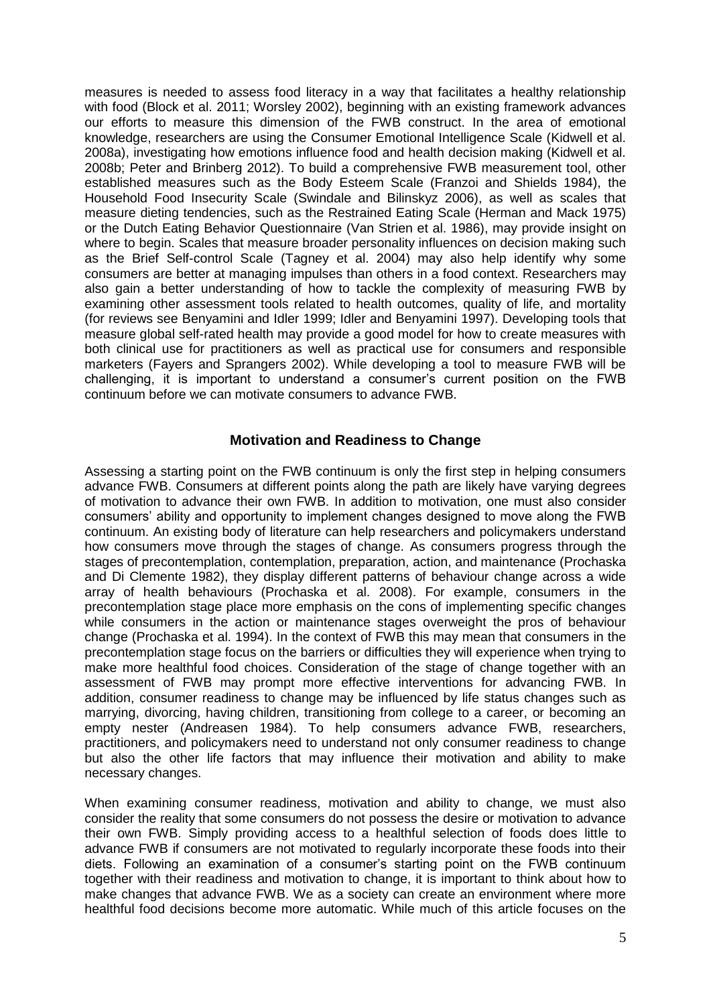measures is needed to assess food literacy in a way that facilitates a healthy relationship with food (Block et al. 2011; Worsley 2002), beginning with an existing framework advances our efforts to measure this dimension of the FWB construct. In the area of emotional knowledge, researchers are using the Consumer Emotional Intelligence Scale (Kidwell et al. 2008a), investigating how emotions influence food and health decision making (Kidwell et al. 2008b; Peter and Brinberg 2012). To build a comprehensive FWB measurement tool, other established measures such as the Body Esteem Scale (Franzoi and Shields 1984), the Household Food Insecurity Scale (Swindale and Bilinskyz 2006), as well as scales that measure dieting tendencies, such as the Restrained Eating Scale (Herman and Mack 1975) or the Dutch Eating Behavior Questionnaire (Van Strien et al. 1986), may provide insight on where to begin. Scales that measure broader personality influences on decision making such as the Brief Self-control Scale (Tagney et al. 2004) may also help identify why some consumers are better at managing impulses than others in a food context. Researchers may also gain a better understanding of how to tackle the complexity of measuring FWB by examining other assessment tools related to health outcomes, quality of life, and mortality (for reviews see Benyamini and Idler 1999; Idler and Benyamini 1997). Developing tools that measure global self-rated health may provide a good model for how to create measures with both clinical use for practitioners as well as practical use for consumers and responsible marketers (Fayers and Sprangers 2002). While developing a tool to measure FWB will be challenging, it is important to understand a consumer's current position on the FWB continuum before we can motivate consumers to advance FWB.

## **Motivation and Readiness to Change**

Assessing a starting point on the FWB continuum is only the first step in helping consumers advance FWB. Consumers at different points along the path are likely have varying degrees of motivation to advance their own FWB. In addition to motivation, one must also consider consumers' ability and opportunity to implement changes designed to move along the FWB continuum. An existing body of literature can help researchers and policymakers understand how consumers move through the stages of change. As consumers progress through the stages of precontemplation, contemplation, preparation, action, and maintenance (Prochaska and Di Clemente 1982), they display different patterns of behaviour change across a wide array of health behaviours (Prochaska et al. 2008). For example, consumers in the precontemplation stage place more emphasis on the cons of implementing specific changes while consumers in the action or maintenance stages overweight the pros of behaviour change (Prochaska et al. 1994). In the context of FWB this may mean that consumers in the precontemplation stage focus on the barriers or difficulties they will experience when trying to make more healthful food choices. Consideration of the stage of change together with an assessment of FWB may prompt more effective interventions for advancing FWB. In addition, consumer readiness to change may be influenced by life status changes such as marrying, divorcing, having children, transitioning from college to a career, or becoming an empty nester (Andreasen 1984). To help consumers advance FWB, researchers, practitioners, and policymakers need to understand not only consumer readiness to change but also the other life factors that may influence their motivation and ability to make necessary changes.

When examining consumer readiness, motivation and ability to change, we must also consider the reality that some consumers do not possess the desire or motivation to advance their own FWB. Simply providing access to a healthful selection of foods does little to advance FWB if consumers are not motivated to regularly incorporate these foods into their diets. Following an examination of a consumer's starting point on the FWB continuum together with their readiness and motivation to change, it is important to think about how to make changes that advance FWB. We as a society can create an environment where more healthful food decisions become more automatic. While much of this article focuses on the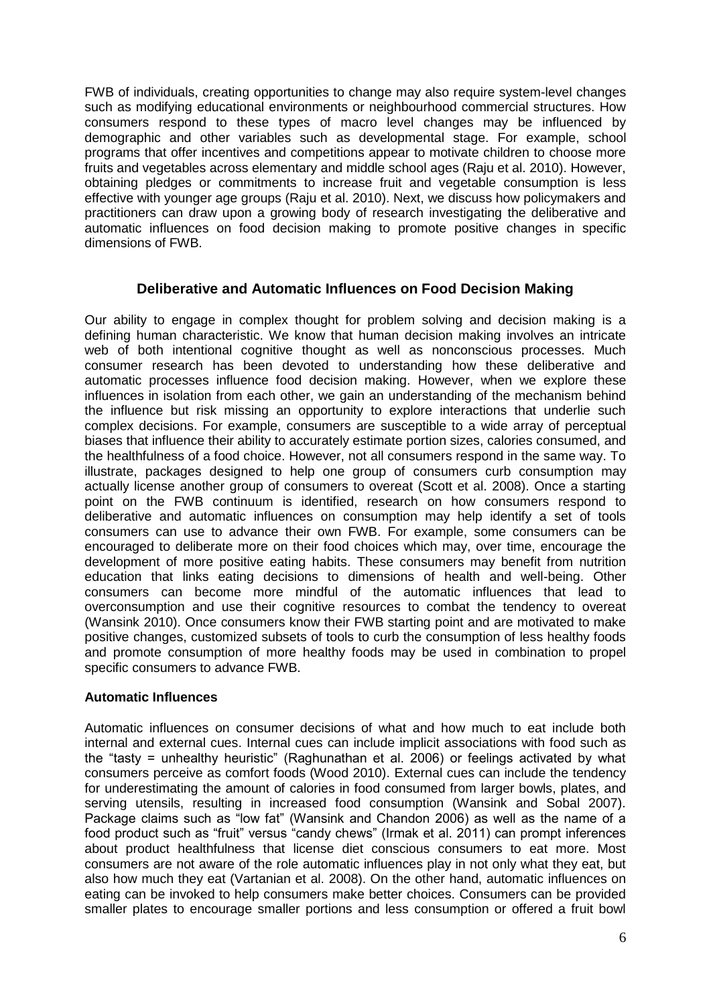FWB of individuals, creating opportunities to change may also require system-level changes such as modifying educational environments or neighbourhood commercial structures. How consumers respond to these types of macro level changes may be influenced by demographic and other variables such as developmental stage. For example, school programs that offer incentives and competitions appear to motivate children to choose more fruits and vegetables across elementary and middle school ages (Raju et al. 2010). However, obtaining pledges or commitments to increase fruit and vegetable consumption is less effective with younger age groups (Raju et al. 2010). Next, we discuss how policymakers and practitioners can draw upon a growing body of research investigating the deliberative and automatic influences on food decision making to promote positive changes in specific dimensions of FWB.

# **Deliberative and Automatic Influences on Food Decision Making**

Our ability to engage in complex thought for problem solving and decision making is a defining human characteristic. We know that human decision making involves an intricate web of both intentional cognitive thought as well as nonconscious processes. Much consumer research has been devoted to understanding how these deliberative and automatic processes influence food decision making. However, when we explore these influences in isolation from each other, we gain an understanding of the mechanism behind the influence but risk missing an opportunity to explore interactions that underlie such complex decisions. For example, consumers are susceptible to a wide array of perceptual biases that influence their ability to accurately estimate portion sizes, calories consumed, and the healthfulness of a food choice. However, not all consumers respond in the same way. To illustrate, packages designed to help one group of consumers curb consumption may actually license another group of consumers to overeat (Scott et al. 2008). Once a starting point on the FWB continuum is identified, research on how consumers respond to deliberative and automatic influences on consumption may help identify a set of tools consumers can use to advance their own FWB. For example, some consumers can be encouraged to deliberate more on their food choices which may, over time, encourage the development of more positive eating habits. These consumers may benefit from nutrition education that links eating decisions to dimensions of health and well-being. Other consumers can become more mindful of the automatic influences that lead to overconsumption and use their cognitive resources to combat the tendency to overeat (Wansink 2010). Once consumers know their FWB starting point and are motivated to make positive changes, customized subsets of tools to curb the consumption of less healthy foods and promote consumption of more healthy foods may be used in combination to propel specific consumers to advance FWB.

### **Automatic Influences**

Automatic influences on consumer decisions of what and how much to eat include both internal and external cues. Internal cues can include implicit associations with food such as the "tasty = unhealthy heuristic" (Raghunathan et al. 2006) or feelings activated by what consumers perceive as comfort foods (Wood 2010). External cues can include the tendency for underestimating the amount of calories in food consumed from larger bowls, plates, and serving utensils, resulting in increased food consumption (Wansink and Sobal 2007). Package claims such as "low fat" (Wansink and Chandon 2006) as well as the name of a food product such as "fruit" versus "candy chews" (Irmak et al. 2011) can prompt inferences about product healthfulness that license diet conscious consumers to eat more. Most consumers are not aware of the role automatic influences play in not only what they eat, but also how much they eat (Vartanian et al. 2008). On the other hand, automatic influences on eating can be invoked to help consumers make better choices. Consumers can be provided smaller plates to encourage smaller portions and less consumption or offered a fruit bowl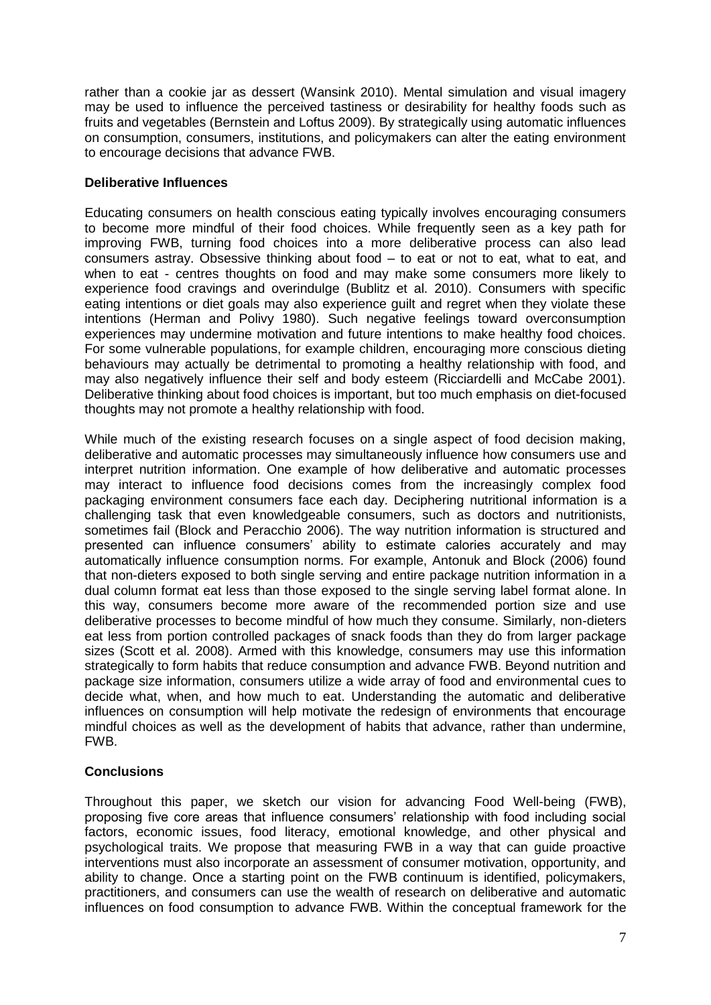rather than a cookie jar as dessert (Wansink 2010). Mental simulation and visual imagery may be used to influence the perceived tastiness or desirability for healthy foods such as fruits and vegetables (Bernstein and Loftus 2009). By strategically using automatic influences on consumption, consumers, institutions, and policymakers can alter the eating environment to encourage decisions that advance FWB.

# **Deliberative Influences**

Educating consumers on health conscious eating typically involves encouraging consumers to become more mindful of their food choices. While frequently seen as a key path for improving FWB, turning food choices into a more deliberative process can also lead consumers astray. Obsessive thinking about food – to eat or not to eat, what to eat, and when to eat - centres thoughts on food and may make some consumers more likely to experience food cravings and overindulge (Bublitz et al. 2010). Consumers with specific eating intentions or diet goals may also experience guilt and regret when they violate these intentions (Herman and Polivy 1980). Such negative feelings toward overconsumption experiences may undermine motivation and future intentions to make healthy food choices. For some vulnerable populations, for example children, encouraging more conscious dieting behaviours may actually be detrimental to promoting a healthy relationship with food, and may also negatively influence their self and body esteem (Ricciardelli and McCabe 2001). Deliberative thinking about food choices is important, but too much emphasis on diet-focused thoughts may not promote a healthy relationship with food.

While much of the existing research focuses on a single aspect of food decision making, deliberative and automatic processes may simultaneously influence how consumers use and interpret nutrition information. One example of how deliberative and automatic processes may interact to influence food decisions comes from the increasingly complex food packaging environment consumers face each day. Deciphering nutritional information is a challenging task that even knowledgeable consumers, such as doctors and nutritionists, sometimes fail (Block and Peracchio 2006). The way nutrition information is structured and presented can influence consumers' ability to estimate calories accurately and may automatically influence consumption norms. For example, Antonuk and Block (2006) found that non-dieters exposed to both single serving and entire package nutrition information in a dual column format eat less than those exposed to the single serving label format alone. In this way, consumers become more aware of the recommended portion size and use deliberative processes to become mindful of how much they consume. Similarly, non-dieters eat less from portion controlled packages of snack foods than they do from larger package sizes (Scott et al. 2008). Armed with this knowledge, consumers may use this information strategically to form habits that reduce consumption and advance FWB. Beyond nutrition and package size information, consumers utilize a wide array of food and environmental cues to decide what, when, and how much to eat. Understanding the automatic and deliberative influences on consumption will help motivate the redesign of environments that encourage mindful choices as well as the development of habits that advance, rather than undermine, FWB.

# **Conclusions**

Throughout this paper, we sketch our vision for advancing Food Well-being (FWB), proposing five core areas that influence consumers' relationship with food including social factors, economic issues, food literacy, emotional knowledge, and other physical and psychological traits. We propose that measuring FWB in a way that can guide proactive interventions must also incorporate an assessment of consumer motivation, opportunity, and ability to change. Once a starting point on the FWB continuum is identified, policymakers, practitioners, and consumers can use the wealth of research on deliberative and automatic influences on food consumption to advance FWB. Within the conceptual framework for the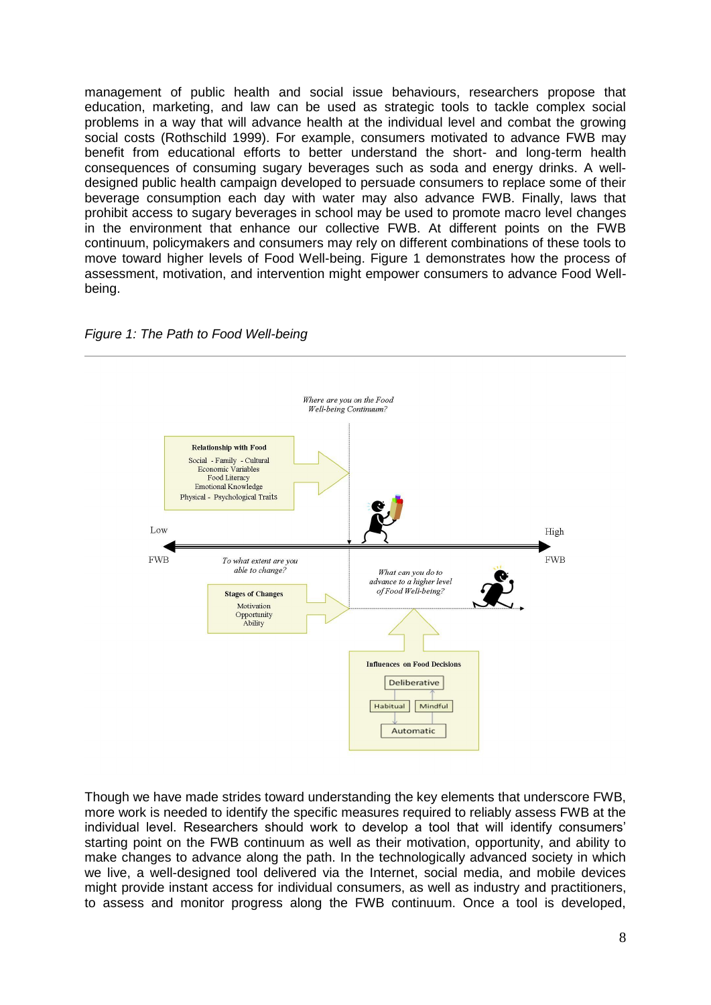management of public health and social issue behaviours, researchers propose that education, marketing, and law can be used as strategic tools to tackle complex social problems in a way that will advance health at the individual level and combat the growing social costs (Rothschild 1999). For example, consumers motivated to advance FWB may benefit from educational efforts to better understand the short- and long-term health consequences of consuming sugary beverages such as soda and energy drinks. A welldesigned public health campaign developed to persuade consumers to replace some of their beverage consumption each day with water may also advance FWB. Finally, laws that prohibit access to sugary beverages in school may be used to promote macro level changes in the environment that enhance our collective FWB. At different points on the FWB continuum, policymakers and consumers may rely on different combinations of these tools to move toward higher levels of Food Well-being. Figure 1 demonstrates how the process of assessment, motivation, and intervention might empower consumers to advance Food Wellbeing.





Though we have made strides toward understanding the key elements that underscore FWB, more work is needed to identify the specific measures required to reliably assess FWB at the individual level. Researchers should work to develop a tool that will identify consumers' starting point on the FWB continuum as well as their motivation, opportunity, and ability to make changes to advance along the path. In the technologically advanced society in which we live, a well-designed tool delivered via the Internet, social media, and mobile devices might provide instant access for individual consumers, as well as industry and practitioners, to assess and monitor progress along the FWB continuum. Once a tool is developed,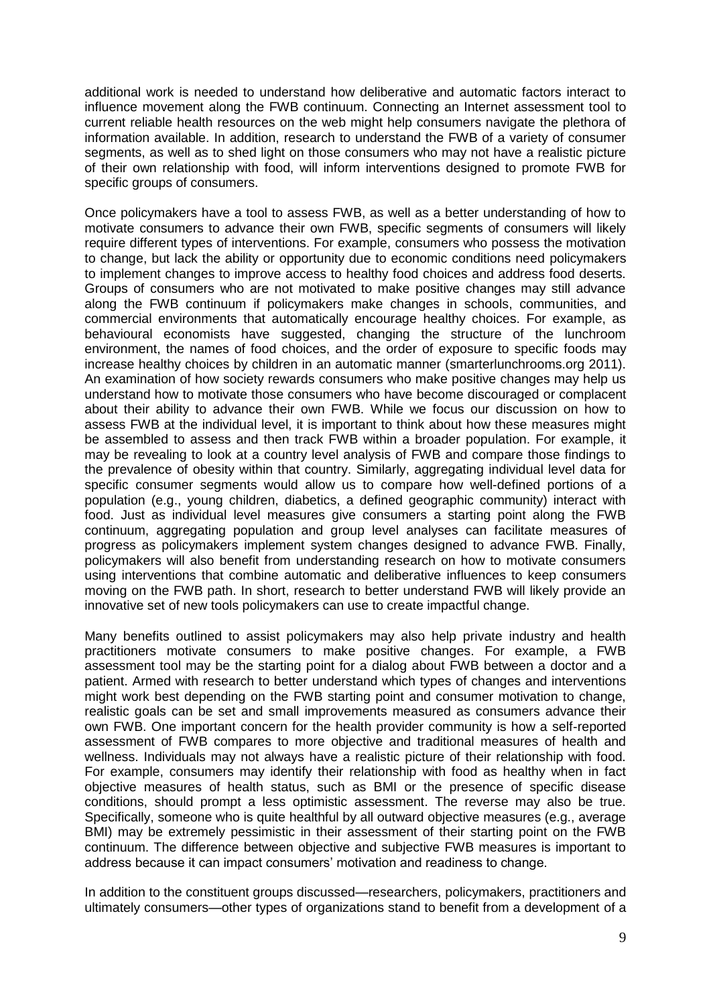additional work is needed to understand how deliberative and automatic factors interact to influence movement along the FWB continuum. Connecting an Internet assessment tool to current reliable health resources on the web might help consumers navigate the plethora of information available. In addition, research to understand the FWB of a variety of consumer segments, as well as to shed light on those consumers who may not have a realistic picture of their own relationship with food, will inform interventions designed to promote FWB for specific groups of consumers.

Once policymakers have a tool to assess FWB, as well as a better understanding of how to motivate consumers to advance their own FWB, specific segments of consumers will likely require different types of interventions. For example, consumers who possess the motivation to change, but lack the ability or opportunity due to economic conditions need policymakers to implement changes to improve access to healthy food choices and address food deserts. Groups of consumers who are not motivated to make positive changes may still advance along the FWB continuum if policymakers make changes in schools, communities, and commercial environments that automatically encourage healthy choices. For example, as behavioural economists have suggested, changing the structure of the lunchroom environment, the names of food choices, and the order of exposure to specific foods may increase healthy choices by children in an automatic manner (smarterlunchrooms.org 2011). An examination of how society rewards consumers who make positive changes may help us understand how to motivate those consumers who have become discouraged or complacent about their ability to advance their own FWB. While we focus our discussion on how to assess FWB at the individual level, it is important to think about how these measures might be assembled to assess and then track FWB within a broader population. For example, it may be revealing to look at a country level analysis of FWB and compare those findings to the prevalence of obesity within that country. Similarly, aggregating individual level data for specific consumer segments would allow us to compare how well-defined portions of a population (e.g., young children, diabetics, a defined geographic community) interact with food. Just as individual level measures give consumers a starting point along the FWB continuum, aggregating population and group level analyses can facilitate measures of progress as policymakers implement system changes designed to advance FWB. Finally, policymakers will also benefit from understanding research on how to motivate consumers using interventions that combine automatic and deliberative influences to keep consumers moving on the FWB path. In short, research to better understand FWB will likely provide an innovative set of new tools policymakers can use to create impactful change.

Many benefits outlined to assist policymakers may also help private industry and health practitioners motivate consumers to make positive changes. For example, a FWB assessment tool may be the starting point for a dialog about FWB between a doctor and a patient. Armed with research to better understand which types of changes and interventions might work best depending on the FWB starting point and consumer motivation to change, realistic goals can be set and small improvements measured as consumers advance their own FWB. One important concern for the health provider community is how a self-reported assessment of FWB compares to more objective and traditional measures of health and wellness. Individuals may not always have a realistic picture of their relationship with food. For example, consumers may identify their relationship with food as healthy when in fact objective measures of health status, such as BMI or the presence of specific disease conditions, should prompt a less optimistic assessment. The reverse may also be true. Specifically, someone who is quite healthful by all outward objective measures (e.g., average BMI) may be extremely pessimistic in their assessment of their starting point on the FWB continuum. The difference between objective and subjective FWB measures is important to address because it can impact consumers' motivation and readiness to change.

In addition to the constituent groups discussed—researchers, policymakers, practitioners and ultimately consumers—other types of organizations stand to benefit from a development of a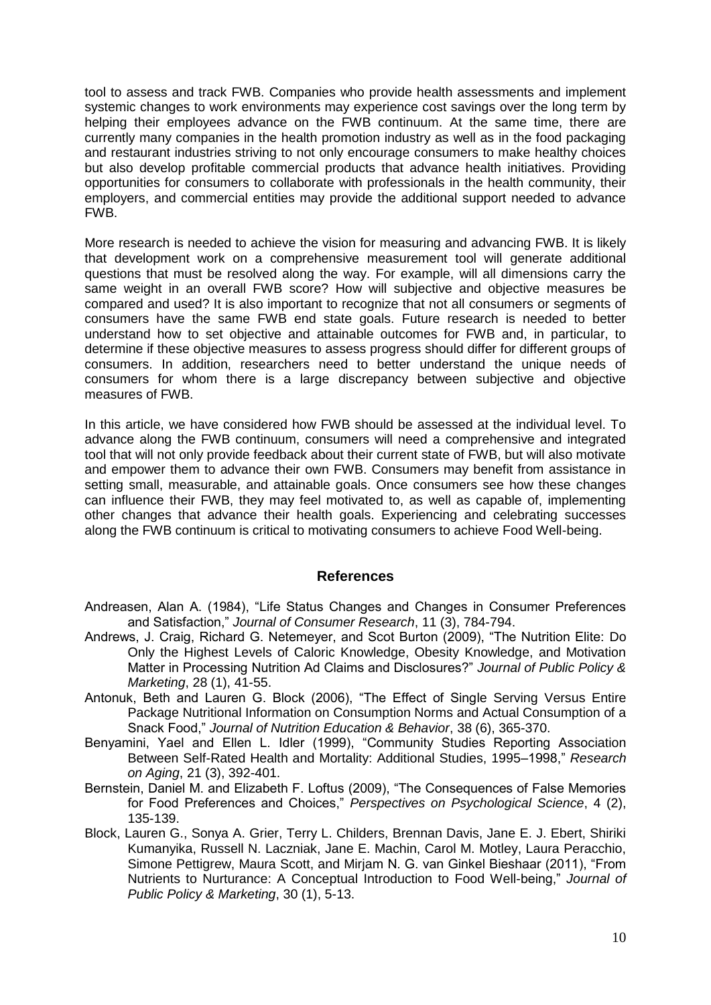tool to assess and track FWB. Companies who provide health assessments and implement systemic changes to work environments may experience cost savings over the long term by helping their employees advance on the FWB continuum. At the same time, there are currently many companies in the health promotion industry as well as in the food packaging and restaurant industries striving to not only encourage consumers to make healthy choices but also develop profitable commercial products that advance health initiatives. Providing opportunities for consumers to collaborate with professionals in the health community, their employers, and commercial entities may provide the additional support needed to advance FWB.

More research is needed to achieve the vision for measuring and advancing FWB. It is likely that development work on a comprehensive measurement tool will generate additional questions that must be resolved along the way. For example, will all dimensions carry the same weight in an overall FWB score? How will subjective and objective measures be compared and used? It is also important to recognize that not all consumers or segments of consumers have the same FWB end state goals. Future research is needed to better understand how to set objective and attainable outcomes for FWB and, in particular, to determine if these objective measures to assess progress should differ for different groups of consumers. In addition, researchers need to better understand the unique needs of consumers for whom there is a large discrepancy between subjective and objective measures of FWB.

In this article, we have considered how FWB should be assessed at the individual level. To advance along the FWB continuum, consumers will need a comprehensive and integrated tool that will not only provide feedback about their current state of FWB, but will also motivate and empower them to advance their own FWB. Consumers may benefit from assistance in setting small, measurable, and attainable goals. Once consumers see how these changes can influence their FWB, they may feel motivated to, as well as capable of, implementing other changes that advance their health goals. Experiencing and celebrating successes along the FWB continuum is critical to motivating consumers to achieve Food Well-being.

### **References**

- Andreasen, Alan A. (1984), "Life Status Changes and Changes in Consumer Preferences and Satisfaction," *Journal of Consumer Research*, 11 (3), 784-794.
- Andrews, J. Craig, Richard G. Netemeyer, and Scot Burton (2009), "The Nutrition Elite: Do Only the Highest Levels of Caloric Knowledge, Obesity Knowledge, and Motivation Matter in Processing Nutrition Ad Claims and Disclosures?" *Journal of Public Policy & Marketing*, 28 (1), 41-55.
- Antonuk, Beth and Lauren G. Block (2006), "The Effect of Single Serving Versus Entire Package Nutritional Information on Consumption Norms and Actual Consumption of a Snack Food," *Journal of Nutrition Education & Behavior*, 38 (6), 365-370.
- Benyamini, Yael and Ellen L. Idler (1999), "Community Studies Reporting Association Between Self-Rated Health and Mortality: Additional Studies, 1995–1998," *Research on Aging*, 21 (3), 392-401.
- Bernstein, Daniel M. and Elizabeth F. Loftus (2009), "The Consequences of False Memories for Food Preferences and Choices," *Perspectives on Psychological Science*, 4 (2), 135-139.
- Block, Lauren G., Sonya A. Grier, Terry L. Childers, Brennan Davis, Jane E. J. Ebert, Shiriki Kumanyika, Russell N. Laczniak, Jane E. Machin, Carol M. Motley, Laura Peracchio, Simone Pettigrew, Maura Scott, and Mirjam N. G. van Ginkel Bieshaar (2011), "From Nutrients to Nurturance: A Conceptual Introduction to Food Well-being," *Journal of Public Policy & Marketing*, 30 (1), 5-13.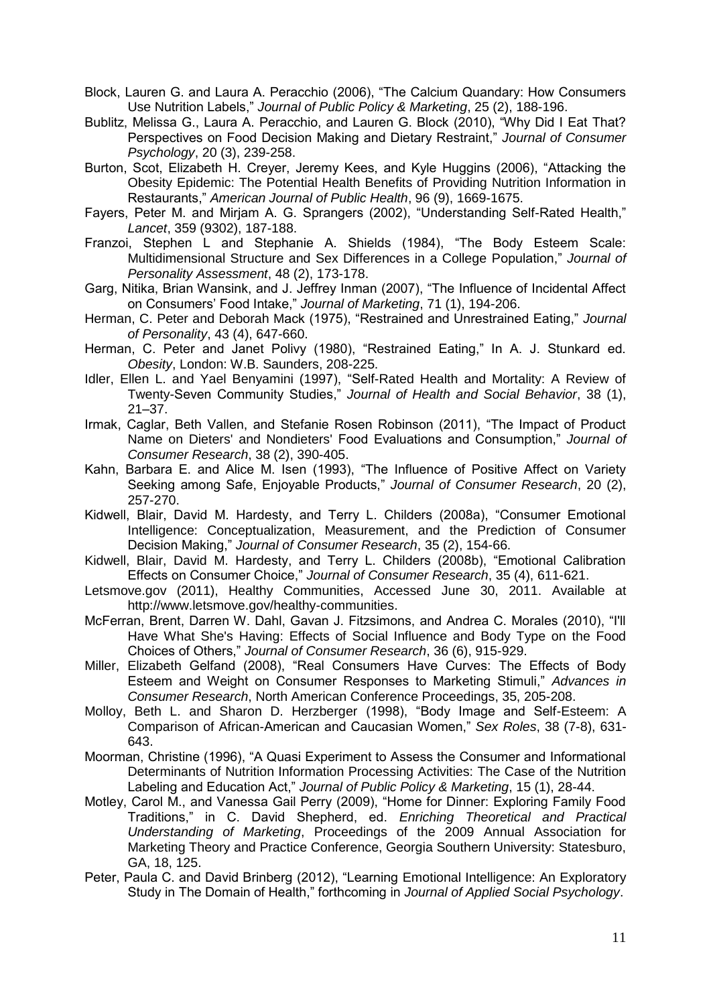Block, Lauren G. and Laura A. Peracchio (2006), "The Calcium Quandary: How Consumers Use Nutrition Labels," *Journal of Public Policy & Marketing*, 25 (2), 188-196.

Bublitz, Melissa G., Laura A. Peracchio, and Lauren G. Block (2010), "Why Did I Eat That? Perspectives on Food Decision Making and Dietary Restraint," *Journal of Consumer Psychology*, 20 (3), 239-258.

Burton, Scot, Elizabeth H. Creyer, Jeremy Kees, and Kyle Huggins (2006), "Attacking the Obesity Epidemic: The Potential Health Benefits of Providing Nutrition Information in Restaurants," *American Journal of Public Health*, 96 (9), 1669-1675.

Fayers, Peter M. and Mirjam A. G. Sprangers (2002), "Understanding Self-Rated Health," *Lancet*, 359 (9302), 187-188.

Franzoi, Stephen L and Stephanie A. Shields (1984), "The Body Esteem Scale: Multidimensional Structure and Sex Differences in a College Population," *Journal of Personality Assessment*, 48 (2), 173-178.

Garg, Nitika, Brian Wansink, and J. Jeffrey Inman (2007), "The Influence of Incidental Affect on Consumers' Food Intake," *Journal of Marketing*, 71 (1), 194-206.

Herman, C. Peter and Deborah Mack (1975), "Restrained and Unrestrained Eating," *Journal of Personality*, 43 (4), 647-660.

Herman, C. Peter and Janet Polivy (1980), "Restrained Eating," In A. J. Stunkard ed. *Obesity*, London: W.B. Saunders, 208-225.

Idler, Ellen L. and Yael Benyamini (1997), "Self-Rated Health and Mortality: A Review of Twenty-Seven Community Studies," *Journal of Health and Social Behavior*, 38 (1), 21–37.

Irmak, Caglar, Beth Vallen, and Stefanie Rosen Robinson (2011), "The Impact of Product Name on Dieters' and Nondieters' Food Evaluations and Consumption," *Journal of Consumer Research*, 38 (2), 390-405.

Kahn, Barbara E. and Alice M. Isen (1993), "The Influence of Positive Affect on Variety Seeking among Safe, Enjoyable Products," *Journal of Consumer Research*, 20 (2), 257-270.

Kidwell, Blair, David M. Hardesty, and Terry L. Childers (2008a), "Consumer Emotional Intelligence: Conceptualization, Measurement, and the Prediction of Consumer Decision Making," *Journal of Consumer Research*, 35 (2), 154-66.

Kidwell, Blair, David M. Hardesty, and Terry L. Childers (2008b), "Emotional Calibration Effects on Consumer Choice," *Journal of Consumer Research*, 35 (4), 611-621.

Letsmove.gov (2011), Healthy Communities, Accessed June 30, 2011. Available at http://www.letsmove.gov/healthy-communities.

McFerran, Brent, Darren W. Dahl, Gavan J. Fitzsimons, and Andrea C. Morales (2010), "I'll Have What She's Having: Effects of Social Influence and Body Type on the Food Choices of Others," *Journal of Consumer Research*, 36 (6), 915-929.

Miller, Elizabeth Gelfand (2008), "Real Consumers Have Curves: The Effects of Body Esteem and Weight on Consumer Responses to Marketing Stimuli," *Advances in Consumer Research*, North American Conference Proceedings, 35, 205-208.

Molloy, Beth L. and Sharon D. Herzberger (1998), "Body Image and Self-Esteem: A Comparison of African-American and Caucasian Women," *Sex Roles*, 38 (7-8), 631- 643.

Moorman, Christine (1996), "A Quasi Experiment to Assess the Consumer and Informational Determinants of Nutrition Information Processing Activities: The Case of the Nutrition Labeling and Education Act," *Journal of Public Policy & Marketing*, 15 (1), 28-44.

Motley, Carol M., and Vanessa Gail Perry (2009), "Home for Dinner: Exploring Family Food Traditions," in C. David Shepherd, ed. *Enriching Theoretical and Practical Understanding of Marketing*, Proceedings of the 2009 Annual Association for Marketing Theory and Practice Conference, Georgia Southern University: Statesburo, GA, 18, 125.

Peter, Paula C. and David Brinberg (2012), "Learning Emotional Intelligence: An Exploratory Study in The Domain of Health," forthcoming in *Journal of Applied Social Psychology*.